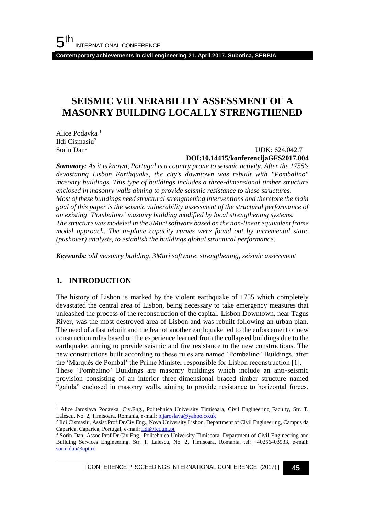**Contemporary achievements in civil engineering 21. April 2017. Subotica, SERBIA**

# **SEISMIC VULNERABILITY ASSESSMENT OF A MASONRY BUILDING LOCALLY STRENGTHENED**

Alice Podavka <sup>1</sup> Ildi Cismasiu<sup>2</sup> Sorin Dan<sup>3</sup>

#### UDK: 624.042.7 **DOI:10.14415/konferencijaGFS2017.004**

*Summary: As it is known, Portugal is a country prone to seismic activity. After the 1755's devastating Lisbon Earthquake, the city's downtown was rebuilt with "Pombalino" masonry buildings. This type of buildings includes a three-dimensional timber structure enclosed in masonry walls aiming to provide seismic resistance to these structures. Most of these buildings need structural strengthening interventions and therefore the main goal of this paper is the seismic vulnerability assessment of the structural performance of an existing "Pombalino" masonry building modified by local strengthening systems. The structure was modeled in the 3Muri software based on the non-linear equivalent frame model approach. The in-plane capacity curves were found out by incremental static (pushover) analysis, to establish the buildings global structural performance*.

*Keywords: old masonry building, 3Muri software, strengthening, seismic assessment*

### **1. INTRODUCTION**

l

The history of Lisbon is marked by the violent earthquake of 1755 which completely devastated the central area of Lisbon, being necessary to take emergency measures that unleashed the process of the reconstruction of the capital. Lisbon Downtown, near Tagus River, was the most destroyed area of Lisbon and was rebuilt following an urban plan. The need of a fast rebuilt and the fear of another earthquake led to the enforcement of new construction rules based on the experience learned from the collapsed buildings due to the earthquake, aiming to provide seismic and fire resistance to the new constructions. The new constructions built according to these rules are named 'Pombalino' Buildings, after the 'Marquês de Pombal' the Prime Minister responsible for Lisbon reconstruction [1].

These 'Pombalino' Buildings are masonry buildings which include an anti-seismic provision consisting of an interior three-dimensional braced timber structure named "gaiola" enclosed in masonry walls, aiming to provide resistance to horizontal forces.

| CONFERENCE PROCEEDINGS INTERNATIONAL CONFERENCE (2017) <sup>|</sup>**45**

<sup>&</sup>lt;sup>1</sup> Alice Jaroslava Podavka, Civ.Eng., Politehnica University Timisoara, Civil Engineering Faculty, Str. T. Lalescu, No. 2, Timisoara, Romania, e-mail: [p.jaroslava@yahoo.co.uk](mailto:p.jaroslava@yahoo.co.uk)

<sup>2</sup> Ildi Cismasiu, Assist.Prof.Dr.Civ.Eng., Nova University Lisbon, Department of Civil Engineering, Campus da Caparica, Caparica, Portugal, e-mail[: ildi@fct.unl.pt](mailto:ildi@fct.unl.pt)

<sup>3</sup> Sorin Dan, Assoc.Prof.Dr.Civ.Eng., Politehnica University Timisoara, Department of Civil Engineering and Building Services Engineering, Str. T. Lalescu, No. 2, Timisoara, Romania, tel: +40256403933, e-mail: [sorin.dan@upt.ro](mailto:sorin.dan@upt.ro)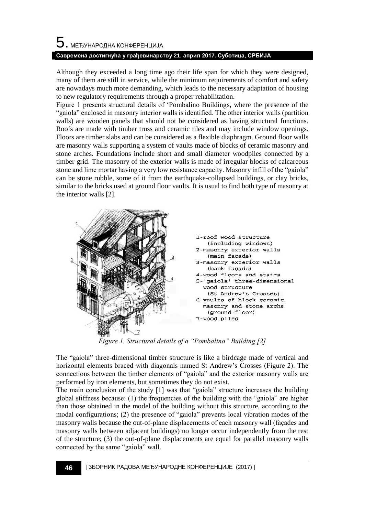# $\mathbf 5$ . међународна конференција **Савремена достигнућа у грађевинарству 21. април 2017. Суботица, СРБИЈА**

Although they exceeded a long time ago their life span for which they were designed, many of them are still in service, while the minimum requirements of comfort and safety are nowadays much more demanding, which leads to the necessary adaptation of housing to new regulatory requirements through a proper rehabilitation.

Figure 1 presents structural details of 'Pombalino Buildings, where the presence of the "gaiola" enclosed in masonry interior walls is identified. The other interior walls (partition walls) are wooden panels that should not be considered as having structural functions. Roofs are made with timber truss and ceramic tiles and may include window openings. Floors are timber slabs and can be considered as a flexible diaphragm. Ground floor walls are masonry walls supporting a system of vaults made of blocks of ceramic masonry and stone arches. Foundations include short and small diameter woodpiles connected by a timber grid. The masonry of the exterior walls is made of irregular blocks of calcareous stone and lime mortar having a very low resistance capacity. Masonry infill of the "gaiola" can be stone rubble, some of it from the earthquake-collapsed buildings, or clay bricks, similar to the bricks used at ground floor vaults. It is usual to find both type of masonry at the interior walls [2].



*Figure 1. Structural details of a "Pombalino" Building [2]*

The "gaiola" three-dimensional timber structure is like a birdcage made of vertical and horizontal elements braced with diagonals named St Andrew's Crosses (Figure 2). The connections between the timber elements of "gaiola" and the exterior masonry walls are performed by iron elements, but sometimes they do not exist.

The main conclusion of the study [1] was that "gaiola" structure increases the building global stiffness because: (1) the frequencies of the building with the "gaiola" are higher than those obtained in the model of the building without this structure, according to the modal configurations; (2) the presence of "gaiola" prevents local vibration modes of the masonry walls because the out-of-plane displacements of each masonry wall (façades and masonry walls between adjacent buildings) no longer occur independently from the rest of the structure; (3) the out-of-plane displacements are equal for parallel masonry walls connected by the same "gaiola" wall.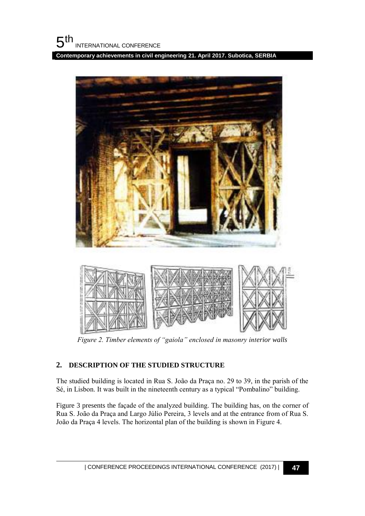**Contemporary achievements in civil engineering 21. April 2017. Subotica, SERBIA**



*Figure 2. Timber elements of "gaiola" enclosed in masonry interior walls*

### **2. DESCRIPTION OF THE STUDIED STRUCTURE**

The studied building is located in Rua S. João da Praça no. 29 to 39, in the parish of the Sé, in Lisbon. It was built in the nineteenth century as a typical "Pombalino" building.

Figure 3 presents the façade of the analyzed building. The building has, on the corner of Rua S. João da Praça and Largo Júlio Pereira, 3 levels and at the entrance from of Rua S. João da Praça 4 levels. The horizontal plan of the building is shown in Figure 4.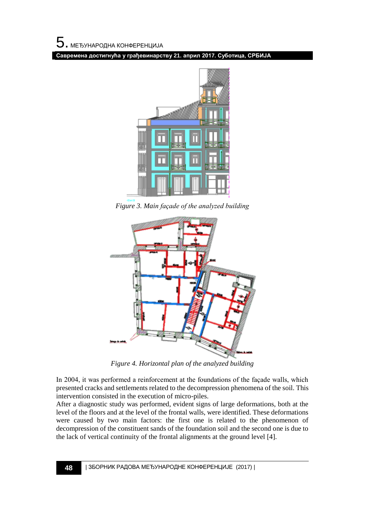**Савремена достигнућа у грађевинарству 21. април 2017. Суботица, СРБИЈА**



*Figure 3. Main façade of the analyzed building*



*Figure 4. Horizontal plan of the analyzed building*

In 2004, it was performed a reinforcement at the foundations of the façade walls, which presented cracks and settlements related to the decompression phenomena of the soil. This intervention consisted in the execution of micro-piles.

After a diagnostic study was performed, evident signs of large deformations, both at the level of the floors and at the level of the frontal walls, were identified. These deformations were caused by two main factors: the first one is related to the phenomenon of decompression of the constituent sands of the foundation soil and the second one is due to the lack of vertical continuity of the frontal alignments at the ground level [4].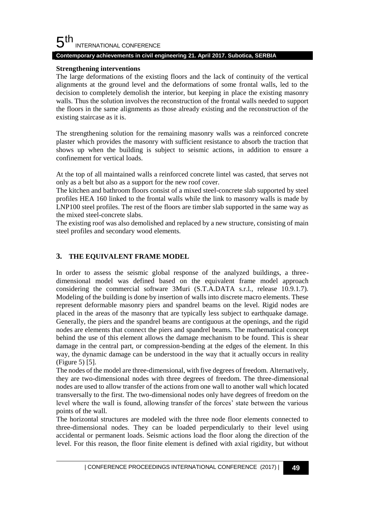#### 5 th INTERNATIONAL CONFERENCE

### **Contemporary achievements in civil engineering 21. April 2017. Subotica, SERBIA**

### **Strengthening interventions**

The large deformations of the existing floors and the lack of continuity of the vertical alignments at the ground level and the deformations of some frontal walls, led to the decision to completely demolish the interior, but keeping in place the existing masonry walls. Thus the solution involves the reconstruction of the frontal walls needed to support the floors in the same alignments as those already existing and the reconstruction of the existing staircase as it is.

The strengthening solution for the remaining masonry walls was a reinforced concrete plaster which provides the masonry with sufficient resistance to absorb the traction that shows up when the building is subject to seismic actions, in addition to ensure a confinement for vertical loads.

At the top of all maintained walls a reinforced concrete lintel was casted, that serves not only as a belt but also as a support for the new roof cover.

The kitchen and bathroom floors consist of a mixed steel-concrete slab supported by steel profiles HEA 160 linked to the frontal walls while the link to masonry walls is made by LNP100 steel profiles. The rest of the floors are timber slab supported in the same way as the mixed steel-concrete slabs.

The existing roof was also demolished and replaced by a new structure, consisting of main steel profiles and secondary wood elements.

### **3. THE EQUIVALENT FRAME MODEL**

In order to assess the seismic global response of the analyzed buildings, a threedimensional model was defined based on the equivalent frame model approach considering the commercial software 3Muri (S.T.A.DATA s.r.l., release 10.9.1.7). Modeling of the building is done by insertion of walls into discrete macro elements. These represent deformable masonry piers and spandrel beams on the level. Rigid nodes are placed in the areas of the masonry that are typically less subject to earthquake damage. Generally, the piers and the spandrel beams are contiguous at the openings, and the rigid nodes are elements that connect the piers and spandrel beams. The mathematical concept behind the use of this element allows the damage mechanism to be found. This is shear damage in the central part, or compression-bending at the edges of the element. In this way, the dynamic damage can be understood in the way that it actually occurs in reality (Figure 5) [5].

The nodes of the model are three-dimensional, with five degrees of freedom. Alternatively, they are two-dimensional nodes with three degrees of freedom. The three-dimensional nodes are used to allow transfer of the actions from one wall to another wall which located transversally to the first. The two-dimensional nodes only have degrees of freedom on the level where the wall is found, allowing transfer of the forces' state between the various points of the wall.

The horizontal structures are modeled with the three node floor elements connected to three-dimensional nodes. They can be loaded perpendicularly to their level using accidental or permanent loads. Seismic actions load the floor along the direction of the level. For this reason, the floor finite element is defined with axial rigidity, but without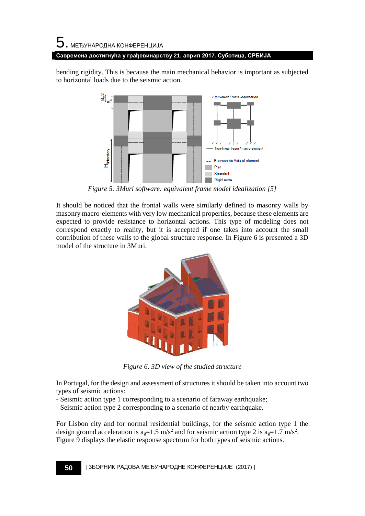# $\mathbf 5$ . међународна конференција **Савремена достигнућа у грађевинарству 21. април 2017. Суботица, СРБИЈА**

bending rigidity. This is because the main mechanical behavior is important as subjected to horizontal loads due to the seismic action.



*Figure 5. 3Muri software: equivalent frame model idealization [5]*

It should be noticed that the frontal walls were similarly defined to masonry walls by masonry macro-elements with very low mechanical properties, because these elements are expected to provide resistance to horizontal actions. This type of modeling does not correspond exactly to reality, but it is accepted if one takes into account the small contribution of these walls to the global structure response. In Figure 6 is presented a 3D model of the structure in 3Muri.



*Figure 6. 3D view of the studied structure*

In Portugal, for the design and assessment of structures it should be taken into account two types of seismic actions:

- Seismic action type 1 corresponding to a scenario of faraway earthquake;
- Seismic action type 2 corresponding to a scenario of nearby earthquake.

For Lisbon city and for normal residential buildings, for the seismic action type 1 the design ground acceleration is  $a_g=1.5 \text{ m/s}^2$  and for seismic action type 2 is  $a_g=1.7 \text{ m/s}^2$ . Figure 9 displays the elastic response spectrum for both types of seismic actions.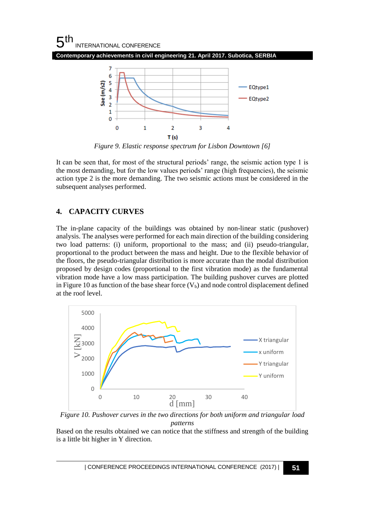

*Figure 9. Elastic response spectrum for Lisbon Downtown [6]*

It can be seen that, for most of the structural periods' range, the seismic action type 1 is the most demanding, but for the low values periods' range (high frequencies), the seismic action type 2 is the more demanding. The two seismic actions must be considered in the subsequent analyses performed.

## **4. CAPACITY CURVES**

The in-plane capacity of the buildings was obtained by non-linear static (pushover) analysis. The analyses were performed for each main direction of the building considering two load patterns: (i) uniform, proportional to the mass; and (ii) pseudo-triangular, proportional to the product between the mass and height. Due to the flexible behavior of the floors, the pseudo-triangular distribution is more accurate than the modal distribution proposed by design codes (proportional to the first vibration mode) as the fundamental vibration mode have a low mass participation. The building pushover curves are plotted in Figure 10 as function of the base shear force  $(V_b)$  and node control displacement defined at the roof level.



*Figure 10. Pushover curves in the two directions for both uniform and triangular load patterns*

Based on the results obtained we can notice that the stiffness and strength of the building is a little bit higher in Y direction.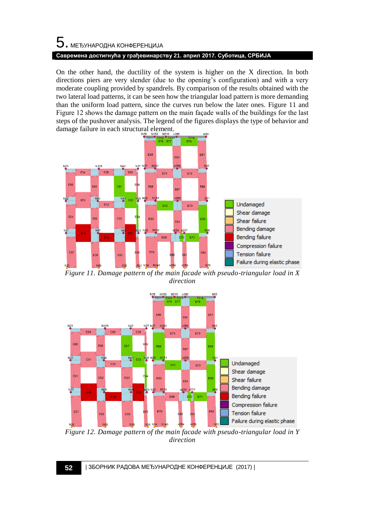# 5. МЕЂУНАРОДНА КОНФЕРЕНЦИЈА **Савремена достигнућа у грађевинарству 21. април 2017. Суботица, СРБИЈА**

On the other hand, the ductility of the system is higher on the X direction. In both directions piers are very slender (due to the opening's configuration) and with a very moderate coupling provided by spandrels. By comparison of the results obtained with the two lateral load patterns, it can be seen how the triangular load pattern is more demanding than the uniform load pattern, since the curves run below the later ones. Figure 11 and Figure 12 shows the damage pattern on the main façade walls of the buildings for the last steps of the pushover analysis. The legend of the figures displays the type of behavior and damage failure in each structural element.



*Figure 11. Damage pattern of the main facade with pseudo-triangular load in X direction*



*Figure 12. Damage pattern of the main facade with pseudo-triangular load in Y direction*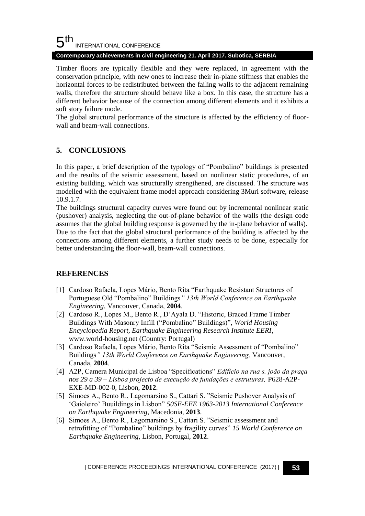#### 5 th INTERNATIONAL CONFERENCE

#### **Contemporary achievements in civil engineering 21. April 2017. Subotica, SERBIA**

Timber floors are typically flexible and they were replaced, in agreement with the conservation principle, with new ones to increase their in-plane stiffness that enables the horizontal forces to be redistributed between the failing walls to the adjacent remaining walls, therefore the structure should behave like a box. In this case, the structure has a different behavior because of the connection among different elements and it exhibits a soft story failure mode.

The global structural performance of the structure is affected by the efficiency of floorwall and beam-wall connections.

## **5. CONCLUSIONS**

In this paper, a brief description of the typology of "Pombalino" buildings is presented and the results of the seismic assessment, based on nonlinear static procedures, of an existing building, which was structurally strengthened, are discussed. The structure was modelled with the equivalent frame model approach considering 3Muri software, release 10.9.1.7.

The buildings structural capacity curves were found out by incremental nonlinear static (pushover) analysis, neglecting the out-of-plane behavior of the walls (the design code assumes that the global building response is governed by the in-plane behavior of walls). Due to the fact that the global structural performance of the building is affected by the connections among different elements, a further study needs to be done, especially for better understanding the floor-wall, beam-wall connections.

### **REFERENCES**

- [1] Cardoso Rafaela, Lopes Mário, Bento Rita "Earthquake Resistant Structures of Portuguese Old "Pombalino" Buildings*" 13th World Conference on Earthquake Engineering,* Vancouver, Canada, **2004**.
- [2] Cardoso R., Lopes M., Bento R., D'Ayala D. "Historic, Braced Frame Timber Buildings With Masonry Infill ("Pombalino" Buildings)", *World Housing Encyclopedia Report, Earthquake Engineering Research Institute EERI*, www.world-housing.net (Country: Portugal)
- [3] Cardoso Rafaela, Lopes Mário, Bento Rita "Seismic Assessment of "Pombalino" Buildings*" 13th World Conference on Earthquake Engineering,* Vancouver, Canada, **2004**.
- [4] A2P, Camera Municipal de Lisboa "Specifications" *Edifício na rua s. joão da praça nos 29 a 39 – Lisboa projecto de execução de fundações e estruturas,* P628-A2P-EXE-MD-002-0, Lisbon, **2012**.
- [5] Simoes A., Bento R., Lagomarsino S., Cattari S. "Seismic Pushover Analysis of 'Gaioleiro' Buuildings in Lisbon" *50SE-EEE 1963-2013 International Conference on Earthquake Engineering,* Macedonia, **2013**.
- [6] Simoes A., Bento R., Lagomarsino S., Cattari S. "Seismic assessment and retrofitting of "Pombalino" buildings by fragility curves" *15 World Conference on Earthquake Engineering*, Lisbon, Portugal, **2012**.